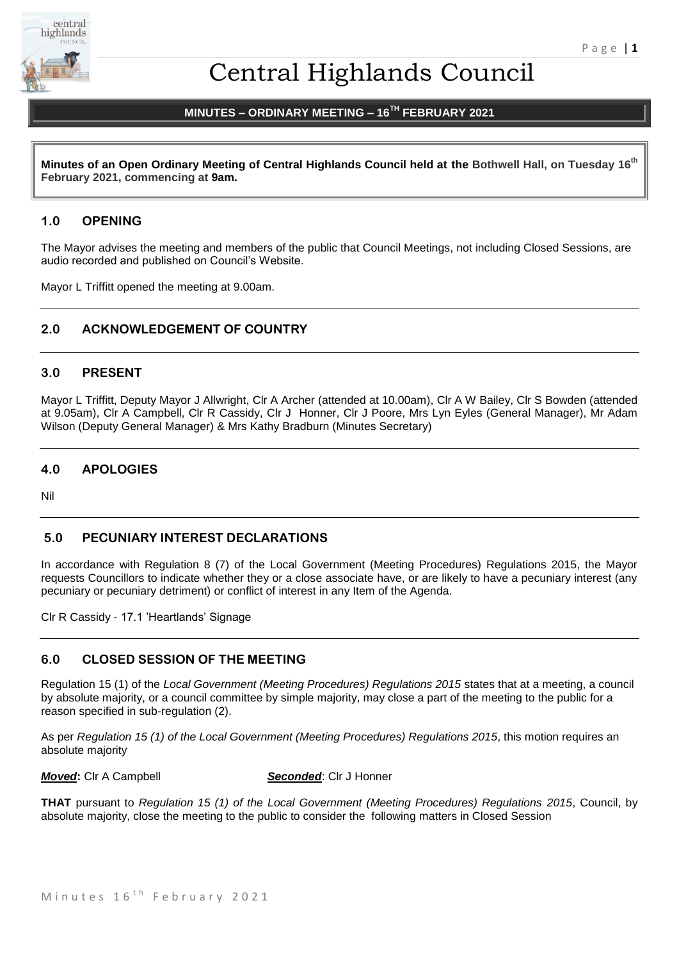

# Central Highlands Council

# **MINUTES – ORDINARY MEETING – 16TH FEBRUARY 2021**

**Minutes of an Open Ordinary Meeting of Central Highlands Council held at the Bothwell Hall, on Tuesday 16th February 2021, commencing at 9am.**

# **1.0 OPENING**

The Mayor advises the meeting and members of the public that Council Meetings, not including Closed Sessions, are audio recorded and published on Council's Website.

Mayor L Triffitt opened the meeting at 9.00am.

# **2.0 ACKNOWLEDGEMENT OF COUNTRY**

## **3.0 PRESENT**

Mayor L Triffitt, Deputy Mayor J Allwright, Clr A Archer (attended at 10.00am), Clr A W Bailey, Clr S Bowden (attended at 9.05am), Clr A Campbell, Clr R Cassidy, Clr J Honner, Clr J Poore, Mrs Lyn Eyles (General Manager), Mr Adam Wilson (Deputy General Manager) & Mrs Kathy Bradburn (Minutes Secretary)

## **4.0 APOLOGIES**

Nil

## **5.0 PECUNIARY INTEREST DECLARATIONS**

In accordance with Regulation 8 (7) of the Local Government (Meeting Procedures) Regulations 2015, the Mayor requests Councillors to indicate whether they or a close associate have, or are likely to have a pecuniary interest (any pecuniary or pecuniary detriment) or conflict of interest in any Item of the Agenda.

Clr R Cassidy - 17.1 'Heartlands' Signage

# **6.0 CLOSED SESSION OF THE MEETING**

Regulation 15 (1) of the *Local Government (Meeting Procedures) Regulations 2015* states that at a meeting, a council by absolute majority, or a council committee by simple majority, may close a part of the meeting to the public for a reason specified in sub-regulation (2).

As per *Regulation 15 (1) of the Local Government (Meeting Procedures) Regulations 2015*, this motion requires an absolute majority

*Moved***:** Clr A Campbell *Seconded*: Clr J Honner

**THAT** pursuant to *Regulation 15 (1) of the Local Government (Meeting Procedures) Regulations 2015*, Council, by absolute majority, close the meeting to the public to consider the following matters in Closed Session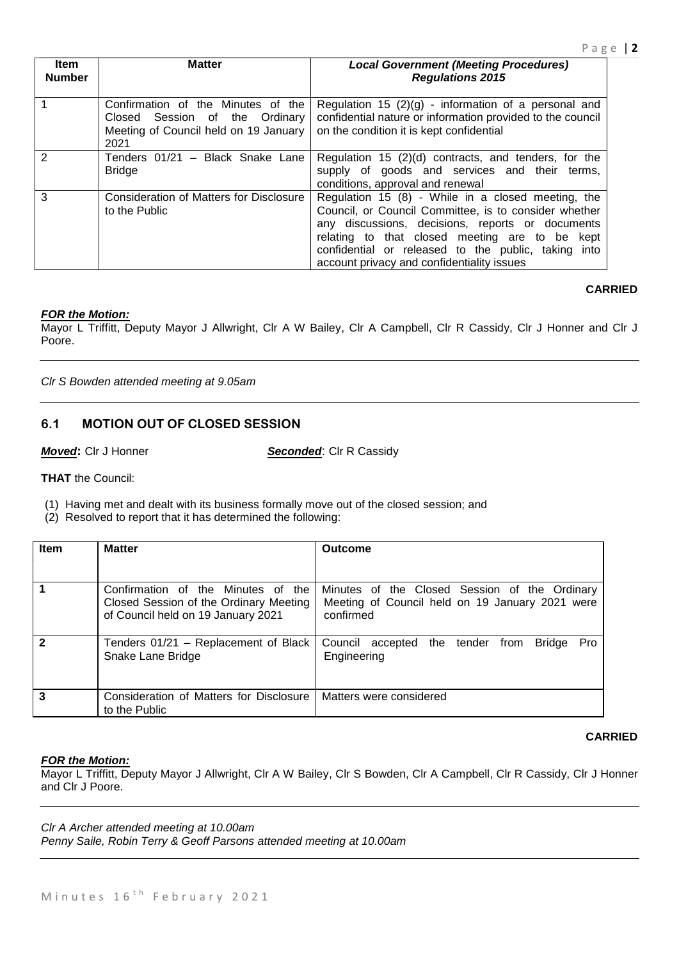| ltem<br><b>Number</b> | <b>Matter</b>                                                                                                            | <b>Local Government (Meeting Procedures)</b><br><b>Regulations 2015</b>                                                                                                                                                                                                                                                |
|-----------------------|--------------------------------------------------------------------------------------------------------------------------|------------------------------------------------------------------------------------------------------------------------------------------------------------------------------------------------------------------------------------------------------------------------------------------------------------------------|
|                       | Confirmation of the Minutes of the<br>Session of the Ordinary<br>Closed<br>Meeting of Council held on 19 January<br>2021 | Regulation 15 $(2)(g)$ - information of a personal and<br>confidential nature or information provided to the council<br>on the condition it is kept confidential                                                                                                                                                       |
|                       | Tenders 01/21 - Black Snake Lane<br><b>Bridge</b>                                                                        | Regulation 15 (2)(d) contracts, and tenders, for the<br>supply of goods and services and their<br>terms,<br>conditions, approval and renewal                                                                                                                                                                           |
| 3                     | Consideration of Matters for Disclosure<br>to the Public                                                                 | Regulation 15 (8) - While in a closed meeting, the<br>Council, or Council Committee, is to consider whether<br>any discussions, decisions, reports or documents<br>relating to that closed meeting are to be kept<br>confidential or released to the public, taking into<br>account privacy and confidentiality issues |

# **CARRIED**

#### *FOR the Motion:*

Mayor L Triffitt, Deputy Mayor J Allwright, Clr A W Bailey, Clr A Campbell, Clr R Cassidy, Clr J Honner and Clr J Poore.

*Clr S Bowden attended meeting at 9.05am*

# **6.1 MOTION OUT OF CLOSED SESSION**

*Moved***:** Clr J Honner *Seconded*: Clr R Cassidy

**THAT** the Council:

(1) Having met and dealt with its business formally move out of the closed session; and

(2) Resolved to report that it has determined the following:

| <b>Item</b> | <b>Matter</b>                                                                                                      | <b>Outcome</b>                                                                                                |
|-------------|--------------------------------------------------------------------------------------------------------------------|---------------------------------------------------------------------------------------------------------------|
|             |                                                                                                                    |                                                                                                               |
|             | Confirmation of the Minutes of the<br>Closed Session of the Ordinary Meeting<br>of Council held on 19 January 2021 | Minutes of the Closed Session of the Ordinary<br>Meeting of Council held on 19 January 2021 were<br>confirmed |
| 2           | Tenders 01/21 - Replacement of Black<br>Snake Lane Bridge                                                          | <b>Bridge</b><br>Pro<br>Council accepted the tender<br>from<br>Engineering                                    |
| 3           | Consideration of Matters for Disclosure<br>to the Public                                                           | Matters were considered                                                                                       |

#### **CARRIED**

#### *FOR the Motion:*

Mayor L Triffitt, Deputy Mayor J Allwright, Clr A W Bailey, Clr S Bowden, Clr A Campbell, Clr R Cassidy, Clr J Honner and Clr J Poore.

*Clr A Archer attended meeting at 10.00am*

*Penny Saile, Robin Terry & Geoff Parsons attended meeting at 10.00am*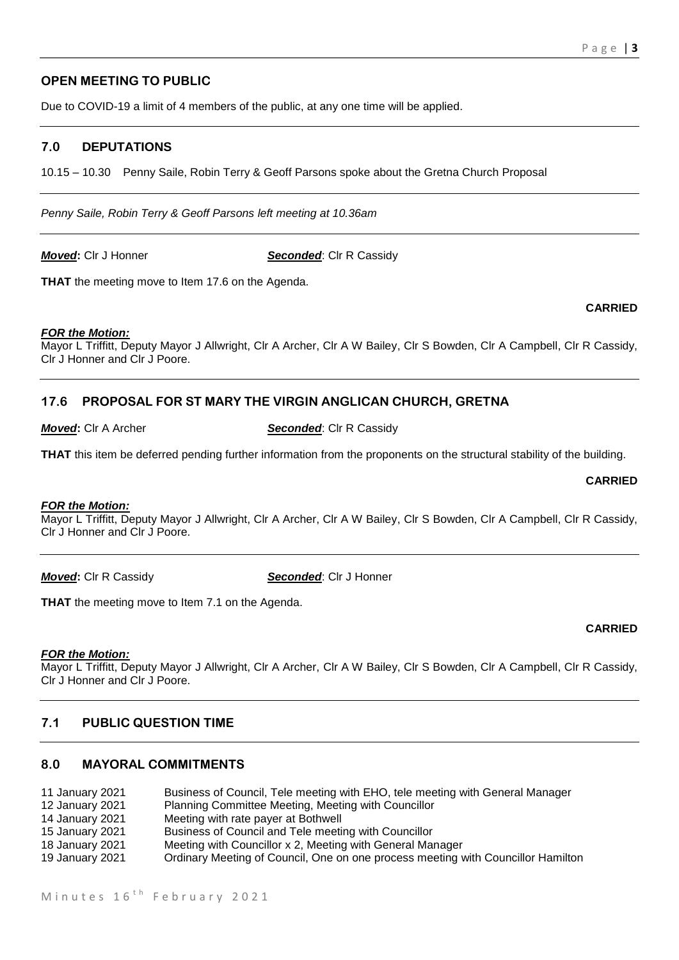# **OPEN MEETING TO PUBLIC**

Due to COVID-19 a limit of 4 members of the public, at any one time will be applied.

# **7.0 DEPUTATIONS**

10.15 – 10.30 Penny Saile, Robin Terry & Geoff Parsons spoke about the Gretna Church Proposal

*Penny Saile, Robin Terry & Geoff Parsons left meeting at 10.36am*

*Moved***: Cir J Honner <b>Seconded**: Cir R Cassidy

**THAT** the meeting move to Item 17.6 on the Agenda.

# *FOR the Motion:*

Mayor L Triffitt, Deputy Mayor J Allwright, Clr A Archer, Clr A W Bailey, Clr S Bowden, Clr A Campbell, Clr R Cassidy, Clr J Honner and Clr J Poore.

# **17.6 PROPOSAL FOR ST MARY THE VIRGIN ANGLICAN CHURCH, GRETNA**

#### *Moved***: CIr A Archer <b>Seconded**: CIr R Cassidy

**THAT** this item be deferred pending further information from the proponents on the structural stability of the building.

# *FOR the Motion:*

Mayor L Triffitt, Deputy Mayor J Allwright, Clr A Archer, Clr A W Bailey, Clr S Bowden, Clr A Campbell, Clr R Cassidy, Clr J Honner and Clr J Poore.

*Moved***:** Clr R Cassidy *Seconded*: Clr J Honner

**THAT** the meeting move to Item 7.1 on the Agenda.

#### *FOR the Motion:*

Mayor L Triffitt, Deputy Mayor J Allwright, Clr A Archer, Clr A W Bailey, Clr S Bowden, Clr A Campbell, Clr R Cassidy, Clr J Honner and Clr J Poore.

# **7.1 PUBLIC QUESTION TIME**

# **8.0 MAYORAL COMMITMENTS**

| 11 January 2021 | Business of Council, Tele meeting with EHO, tele meeting with General Manager    |
|-----------------|----------------------------------------------------------------------------------|
| 12 January 2021 | Planning Committee Meeting, Meeting with Councillor                              |
| 14 January 2021 | Meeting with rate payer at Bothwell                                              |
| 15 January 2021 | Business of Council and Tele meeting with Councillor                             |
| 18 January 2021 | Meeting with Councillor x 2, Meeting with General Manager                        |
| 19 January 2021 | Ordinary Meeting of Council, One on one process meeting with Councillor Hamilton |

**CARRIED**

**CARRIED**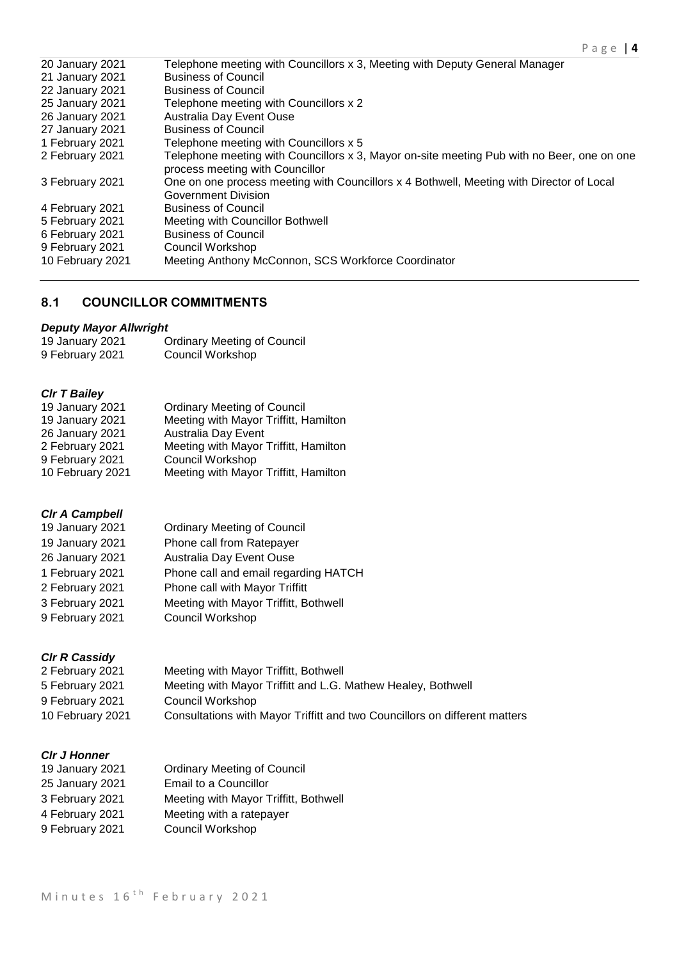| Telephone meeting with Councillors x 3, Meeting with Deputy General Manager                                                   |
|-------------------------------------------------------------------------------------------------------------------------------|
| <b>Business of Council</b>                                                                                                    |
| <b>Business of Council</b>                                                                                                    |
| Telephone meeting with Councillors x 2                                                                                        |
| Australia Day Event Ouse                                                                                                      |
| <b>Business of Council</b>                                                                                                    |
| Telephone meeting with Councillors x 5                                                                                        |
| Telephone meeting with Councillors x 3, Mayor on-site meeting Pub with no Beer, one on one<br>process meeting with Councillor |
| One on one process meeting with Councillors x 4 Bothwell, Meeting with Director of Local<br>Government Division               |
| <b>Business of Council</b>                                                                                                    |
| Meeting with Councillor Bothwell                                                                                              |
| <b>Business of Council</b>                                                                                                    |
| Council Workshop                                                                                                              |
| Meeting Anthony McConnon, SCS Workforce Coordinator                                                                           |
|                                                                                                                               |

# **8.1 COUNCILLOR COMMITMENTS**

# *Deputy Mayor Allwright*

| 19 January 2021 | <b>Ordinary Meeting of Council</b> |
|-----------------|------------------------------------|
| 9 February 2021 | <b>Council Workshop</b>            |

# *Clr T Bailey*

| <b>Ordinary Meeting of Council</b>    |
|---------------------------------------|
| Meeting with Mayor Triffitt, Hamilton |
| <b>Australia Day Event</b>            |
| Meeting with Mayor Triffitt, Hamilton |
| Council Workshop                      |
| Meeting with Mayor Triffitt, Hamilton |
|                                       |

# *Clr A Campbell*

| <b>Ordinary Meeting of Council</b>    |
|---------------------------------------|
| Phone call from Ratepayer             |
| Australia Day Event Ouse              |
| Phone call and email regarding HATCH  |
| Phone call with Mayor Triffitt        |
| Meeting with Mayor Triffitt, Bothwell |
| Council Workshop                      |
|                                       |

# *Clr R Cassidy*

| 2 February 2021  | Meeting with Mayor Triffitt, Bothwell                                      |
|------------------|----------------------------------------------------------------------------|
| 5 February 2021  | Meeting with Mayor Triffitt and L.G. Mathew Healey, Bothwell               |
| 9 February 2021  | Council Workshop                                                           |
| 10 February 2021 | Consultations with Mayor Triffitt and two Councillors on different matters |

# *Clr J Honner*

| 19 January 2021 | <b>Ordinary Meeting of Council</b>    |
|-----------------|---------------------------------------|
| 25 January 2021 | Email to a Councillor                 |
| 3 February 2021 | Meeting with Mayor Triffitt, Bothwell |
| 4 February 2021 | Meeting with a ratepayer              |
| 9 February 2021 | Council Workshop                      |
|                 |                                       |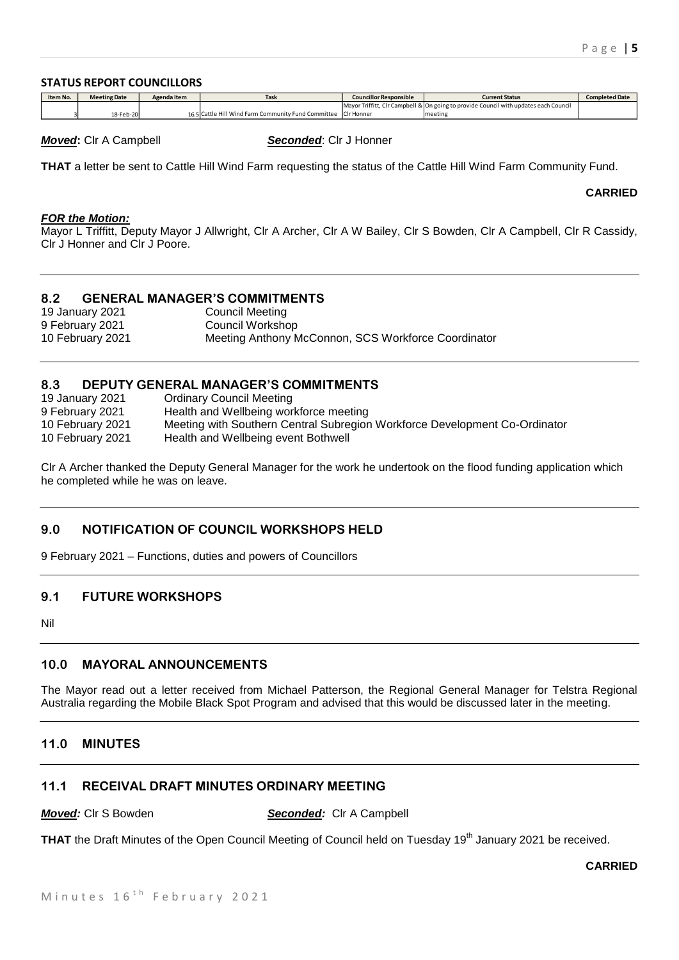#### **STATUS REPORT COUNCILLORS**

| Item No. | <b>Meeting Date</b> | Agenda Item | <b>Task</b>                                                    | <b>Councillor Responsible</b> | Current Status                                                                       | <b>Completed Date</b> |
|----------|---------------------|-------------|----------------------------------------------------------------|-------------------------------|--------------------------------------------------------------------------------------|-----------------------|
|          |                     |             |                                                                |                               | Mayor Triffitt, CIr Campbell & On going to provide Council with updates each Council |                       |
|          | 18-Feb-20           |             | 16.5 Cattle Hill Wind Farm Community Fund Committee CIr Honner |                               | meeting                                                                              |                       |

*Moved***:** Clr A Campbell *Seconded*: Clr J Honner

**THAT** a letter be sent to Cattle Hill Wind Farm requesting the status of the Cattle Hill Wind Farm Community Fund.

**CARRIED**

#### *FOR the Motion:*

Mayor L Triffitt, Deputy Mayor J Allwright, Clr A Archer, Clr A W Bailey, Clr S Bowden, Clr A Campbell, Clr R Cassidy, Clr J Honner and Clr J Poore.

## **8.2 GENERAL MANAGER'S COMMITMENTS**

19 January 2021 Council Meeting 9 February 2021 Council Workshop 10 February 2021 Meeting Anthony McConnon, SCS Workforce Coordinator

## **8.3 DEPUTY GENERAL MANAGER'S COMMITMENTS**

19 January 2021 Ordinary Council Meeting 9 February 2021 Health and Wellbeing workforce meeting 10 February 2021 Meeting with Southern Central Subregion Workforce Development Co-Ordinator 10 February 2021 Health and Wellbeing event Bothwell

Clr A Archer thanked the Deputy General Manager for the work he undertook on the flood funding application which he completed while he was on leave.

# **9.0 NOTIFICATION OF COUNCIL WORKSHOPS HELD**

9 February 2021 – Functions, duties and powers of Councillors

# **9.1 FUTURE WORKSHOPS**

Nil

## **10.0 MAYORAL ANNOUNCEMENTS**

The Mayor read out a letter received from Michael Patterson, the Regional General Manager for Telstra Regional Australia regarding the Mobile Black Spot Program and advised that this would be discussed later in the meeting.

#### **11.0 MINUTES**

# **11.1 RECEIVAL DRAFT MINUTES ORDINARY MEETING**

*Moved:* Clr S Bowden *Seconded:* Clr A Campbell

THAT the Draft Minutes of the Open Council Meeting of Council held on Tuesday 19<sup>th</sup> January 2021 be received.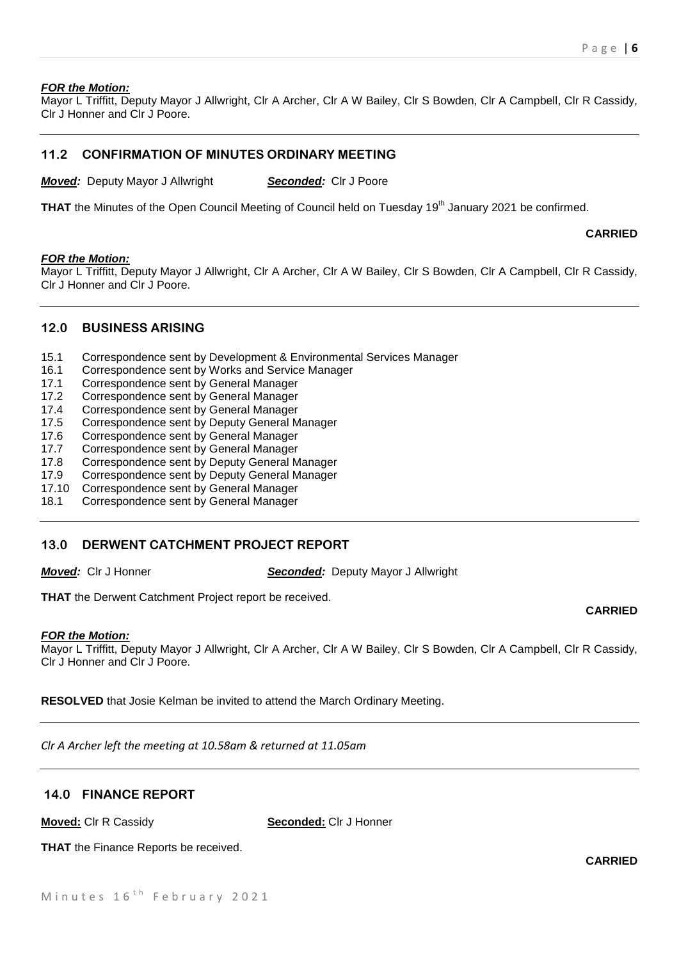### *FOR the Motion:*

Mayor L Triffitt, Deputy Mayor J Allwright, Clr A Archer, Clr A W Bailey, Clr S Bowden, Clr A Campbell, Clr R Cassidy, Clr J Honner and Clr J Poore.

# **11.2 CONFIRMATION OF MINUTES ORDINARY MEETING**

*Moved:* Deputy Mayor J Allwright *Seconded:* Clr J Poore

**THAT** the Minutes of the Open Council Meeting of Council held on Tuesday 19<sup>th</sup> January 2021 be confirmed.

**CARRIED**

#### *FOR the Motion:*

Mayor L Triffitt, Deputy Mayor J Allwright, Clr A Archer, Clr A W Bailey, Clr S Bowden, Clr A Campbell, Clr R Cassidy, Clr J Honner and Clr J Poore.

#### **12.0 BUSINESS ARISING**

- 15.1 Correspondence sent by Development & Environmental Services Manager
- 16.1 Correspondence sent by Works and Service Manager
- 17.1 Correspondence sent by General Manager
- 17.2 Correspondence sent by General Manager
- 17.4 Correspondence sent by General Manager
- 17.5 Correspondence sent by Deputy General Manager
- 17.6 Correspondence sent by General Manager
- 17.7 Correspondence sent by General Manager
- 17.8 Correspondence sent by Deputy General Manager
- 17.9 Correspondence sent by Deputy General Manager
- 17.10 Correspondence sent by General Manager
- 18.1 Correspondence sent by General Manager

# **13.0 DERWENT CATCHMENT PROJECT REPORT**

*Moved:* Clr J Honner *Seconded:* Deputy Mayor J Allwright

**THAT** the Derwent Catchment Project report be received.

#### *FOR the Motion:*

Mayor L Triffitt, Deputy Mayor J Allwright, Clr A Archer, Clr A W Bailey, Clr S Bowden, Clr A Campbell, Clr R Cassidy, Clr J Honner and Clr J Poore.

**RESOLVED** that Josie Kelman be invited to attend the March Ordinary Meeting.

*Clr A Archer left the meeting at 10.58am & returned at 11.05am*

# **14.0 FINANCE REPORT**

**Moved:** Clr R Cassidy **Seconded:** Clr J Honner

**THAT** the Finance Reports be received.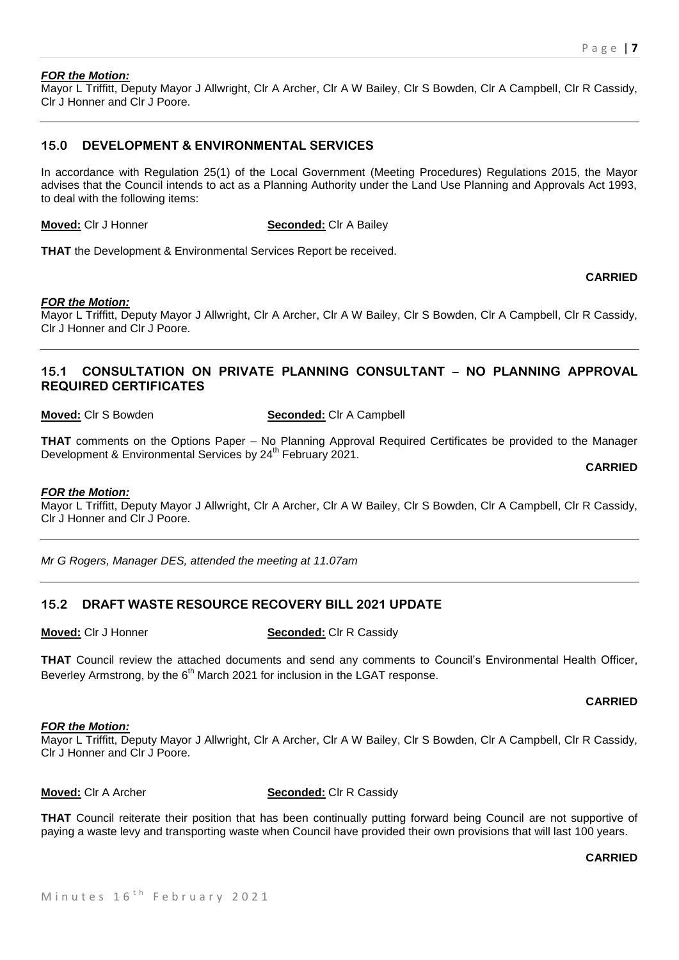#### *FOR the Motion:*

Mayor L Triffitt, Deputy Mayor J Allwright, Clr A Archer, Clr A W Bailey, Clr S Bowden, Clr A Campbell, Clr R Cassidy, Clr J Honner and Clr J Poore.

## **15.0 DEVELOPMENT & ENVIRONMENTAL SERVICES**

In accordance with Regulation 25(1) of the Local Government (Meeting Procedures) Regulations 2015, the Mayor advises that the Council intends to act as a Planning Authority under the Land Use Planning and Approvals Act 1993, to deal with the following items:

**Moved:** Clr J Honner **Seconded:** Clr A Bailey

**THAT** the Development & Environmental Services Report be received.

#### **CARRIED**

#### *FOR the Motion:*

Mayor L Triffitt, Deputy Mayor J Allwright, Clr A Archer, Clr A W Bailey, Clr S Bowden, Clr A Campbell, Clr R Cassidy, Clr J Honner and Clr J Poore.

# **15.1 CONSULTATION ON PRIVATE PLANNING CONSULTANT – NO PLANNING APPROVAL REQUIRED CERTIFICATES**

**Moved:** Clr S Bowden **Seconded:** Clr A Campbell

**THAT** comments on the Options Paper – No Planning Approval Required Certificates be provided to the Manager Development & Environmental Services by 24<sup>th</sup> February 2021.

**CARRIED**

#### *FOR the Motion:*

Mayor L Triffitt, Deputy Mayor J Allwright, Clr A Archer, Clr A W Bailey, Clr S Bowden, Clr A Campbell, Clr R Cassidy, Clr J Honner and Clr J Poore.

*Mr G Rogers, Manager DES, attended the meeting at 11.07am*

# **15.2 DRAFT WASTE RESOURCE RECOVERY BILL 2021 UPDATE**

**Moved:** Clr J Honner **Seconded:** Clr R Cassidy

**THAT** Council review the attached documents and send any comments to Council's Environmental Health Officer, Beverley Armstrong, by the  $6<sup>th</sup>$  March 2021 for inclusion in the LGAT response.

#### **CARRIED**

#### *FOR the Motion:*

Mayor L Triffitt, Deputy Mayor J Allwright, Clr A Archer, Clr A W Bailey, Clr S Bowden, Clr A Campbell, Clr R Cassidy, Clr J Honner and Clr J Poore.

#### **Moved:** Clr A Archer **Seconded:** Clr R Cassidy

**THAT** Council reiterate their position that has been continually putting forward being Council are not supportive of paying a waste levy and transporting waste when Council have provided their own provisions that will last 100 years.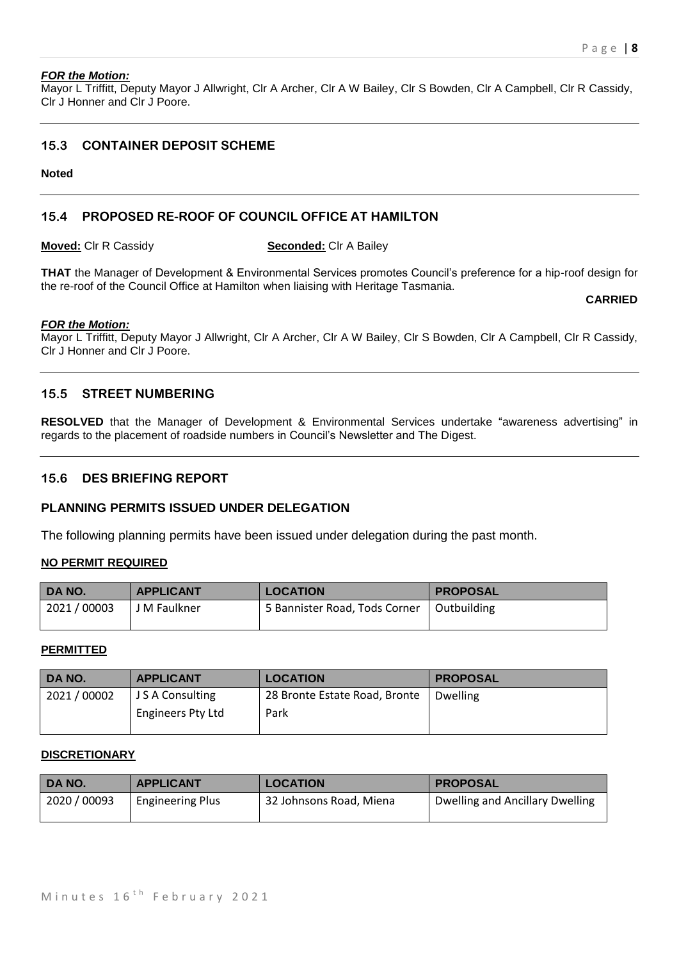#### *FOR the Motion:*

Mayor L Triffitt, Deputy Mayor J Allwright, Clr A Archer, Clr A W Bailey, Clr S Bowden, Clr A Campbell, Clr R Cassidy, Clr J Honner and Clr J Poore.

# **15.3 CONTAINER DEPOSIT SCHEME**

#### **Noted**

# **15.4 PROPOSED RE-ROOF OF COUNCIL OFFICE AT HAMILTON**

**Moved:** Clr R Cassidy **Seconded:** Clr A Bailey

**THAT** the Manager of Development & Environmental Services promotes Council's preference for a hip-roof design for the re-roof of the Council Office at Hamilton when liaising with Heritage Tasmania.

#### **CARRIED**

#### *FOR the Motion:*

Mayor L Triffitt, Deputy Mayor J Allwright, Clr A Archer, Clr A W Bailey, Clr S Bowden, Clr A Campbell, Clr R Cassidy, Clr J Honner and Clr J Poore.

# **15.5 STREET NUMBERING**

**RESOLVED** that the Manager of Development & Environmental Services undertake "awareness advertising" in regards to the placement of roadside numbers in Council's Newsletter and The Digest.

# **15.6 DES BRIEFING REPORT**

## **PLANNING PERMITS ISSUED UNDER DELEGATION**

The following planning permits have been issued under delegation during the past month.

#### **NO PERMIT REQUIRED**

| DA NO.     | <b>APPLICANT</b> | <b>LOCATION</b>               | <b>PROPOSAL</b> |
|------------|------------------|-------------------------------|-----------------|
| 2021/00003 | J M Faulkner     | 5 Bannister Road, Tods Corner | Outbuilding     |

#### **PERMITTED**

| DA NO.     | <b>APPLICANT</b>  | <b>LOCATION</b>               | <b>PROPOSAL</b> |
|------------|-------------------|-------------------------------|-----------------|
| 2021/00002 | J S A Consulting  | 28 Bronte Estate Road, Bronte | <b>Dwelling</b> |
|            | Engineers Pty Ltd | Park                          |                 |

#### **DISCRETIONARY**

| DA NO.       | <b>APPLICANT</b>        | <b>LOCATION</b>         | <b>PROPOSAL</b>                 |
|--------------|-------------------------|-------------------------|---------------------------------|
| 2020 / 00093 | <b>Engineering Plus</b> | 32 Johnsons Road, Miena | Dwelling and Ancillary Dwelling |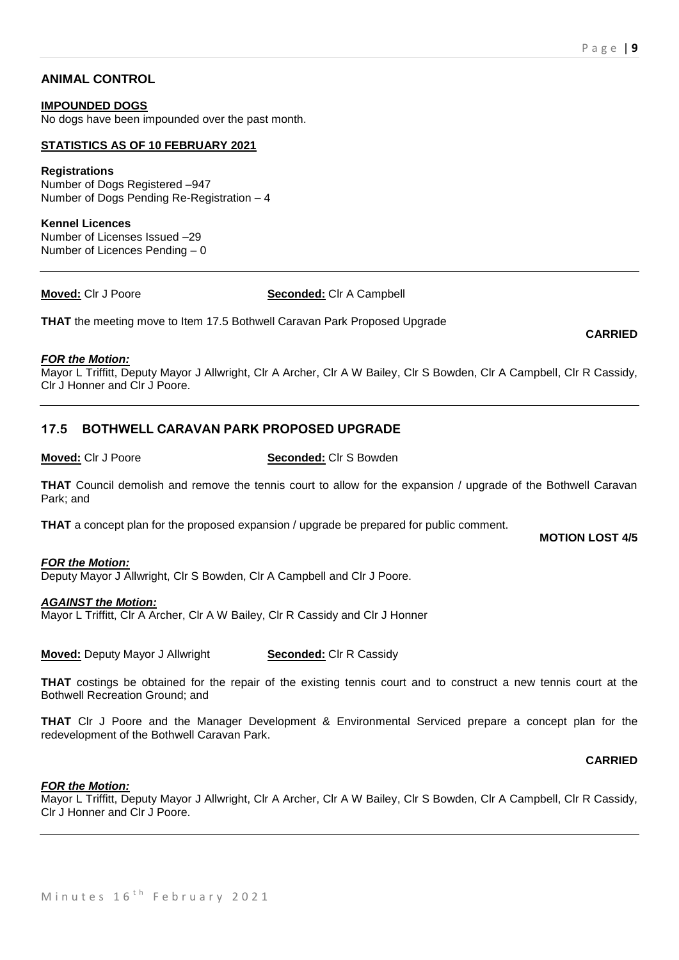**CARRIED**

# **ANIMAL CONTROL**

#### **IMPOUNDED DOGS**

No dogs have been impounded over the past month.

#### **STATISTICS AS OF 10 FEBRUARY 2021**

#### **Registrations**

Number of Dogs Registered –947 Number of Dogs Pending Re-Registration – 4

#### **Kennel Licences**

Number of Licenses Issued –29 Number of Licences Pending – 0

#### **Moved:** Clr J Poore **Seconded:** Clr A Campbell

**THAT** the meeting move to Item 17.5 Bothwell Caravan Park Proposed Upgrade

#### *FOR the Motion:*

Mayor L Triffitt, Deputy Mayor J Allwright, Clr A Archer, Clr A W Bailey, Clr S Bowden, Clr A Campbell, Clr R Cassidy, Clr J Honner and Clr J Poore.

## **17.5 BOTHWELL CARAVAN PARK PROPOSED UPGRADE**

**Moved:** Clr J Poore **Seconded:** Clr S Bowden

**THAT** Council demolish and remove the tennis court to allow for the expansion / upgrade of the Bothwell Caravan Park; and

**THAT** a concept plan for the proposed expansion / upgrade be prepared for public comment.

**MOTION LOST 4/5**

#### *FOR the Motion:*

Deputy Mayor J Allwright, Clr S Bowden, Clr A Campbell and Clr J Poore.

#### *AGAINST the Motion:*

Mayor L Triffitt, Clr A Archer, Clr A W Bailey, Clr R Cassidy and Clr J Honner

**Moved:** Deputy Mayor J Allwright **Seconded:** Clr R Cassidy

**THAT** costings be obtained for the repair of the existing tennis court and to construct a new tennis court at the Bothwell Recreation Ground; and

**THAT** Clr J Poore and the Manager Development & Environmental Serviced prepare a concept plan for the redevelopment of the Bothwell Caravan Park.

#### **CARRIED**

#### *FOR the Motion:*

Mayor L Triffitt, Deputy Mayor J Allwright, Clr A Archer, Clr A W Bailey, Clr S Bowden, Clr A Campbell, Clr R Cassidy, Clr J Honner and Clr J Poore.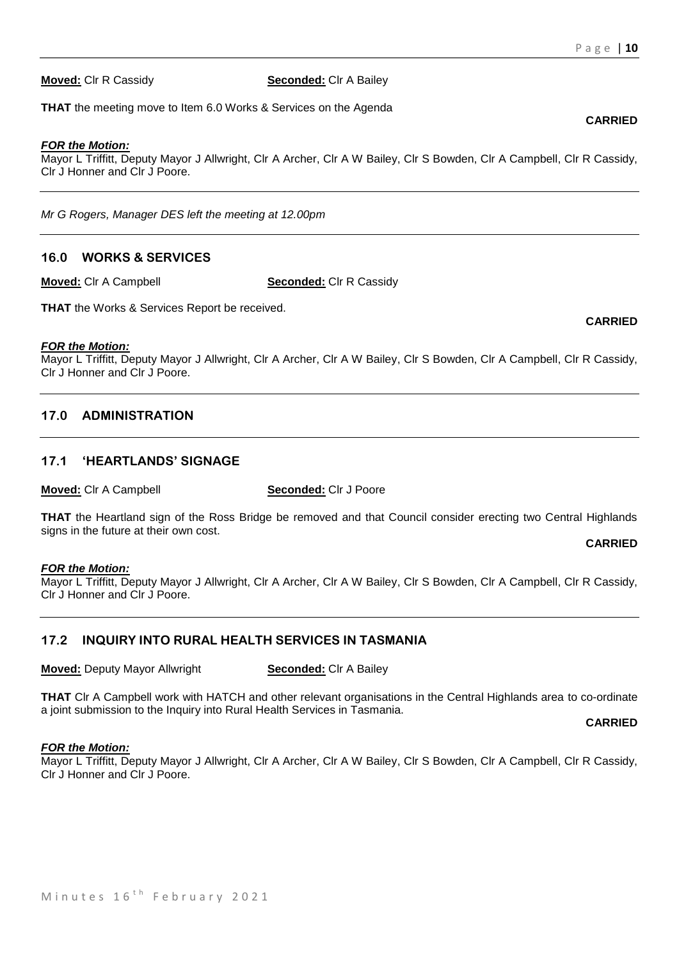**Moved:** Clr R Cassidy **Seconded:** Clr A Bailey

**THAT** the meeting move to Item 6.0 Works & Services on the Agenda

#### *FOR the Motion:*

Mayor L Triffitt, Deputy Mayor J Allwright, Clr A Archer, Clr A W Bailey, Clr S Bowden, Clr A Campbell, Clr R Cassidy, Clr J Honner and Clr J Poore.

*Mr G Rogers, Manager DES left the meeting at 12.00pm*

#### **16.0 WORKS & SERVICES**

**Moved:** Clr A Campbell **Seconded:** Clr R Cassidy

**THAT** the Works & Services Report be received.

#### *FOR the Motion:*

Mayor L Triffitt, Deputy Mayor J Allwright, Clr A Archer, Clr A W Bailey, Clr S Bowden, Clr A Campbell, Clr R Cassidy, Clr J Honner and Clr J Poore.

## **17.0 ADMINISTRATION**

# **17.1 'HEARTLANDS' SIGNAGE**

**Moved:** Clr A Campbell **Seconded:** Clr J Poore

**THAT** the Heartland sign of the Ross Bridge be removed and that Council consider erecting two Central Highlands signs in the future at their own cost.

**CARRIED**

#### *FOR the Motion:*

Mayor L Triffitt, Deputy Mayor J Allwright, Clr A Archer, Clr A W Bailey, Clr S Bowden, Clr A Campbell, Clr R Cassidy, Clr J Honner and Clr J Poore.

## **17.2 INQUIRY INTO RURAL HEALTH SERVICES IN TASMANIA**

**Moved:** Deputy Mayor Allwright **Seconded:** Clr A Bailey

**THAT** Clr A Campbell work with HATCH and other relevant organisations in the Central Highlands area to co-ordinate a joint submission to the Inquiry into Rural Health Services in Tasmania.

**CARRIED**

#### *FOR the Motion:*

Mayor L Triffitt, Deputy Mayor J Allwright, Clr A Archer, Clr A W Bailey, Clr S Bowden, Clr A Campbell, Clr R Cassidy, Clr J Honner and Clr J Poore.

# **CARRIED**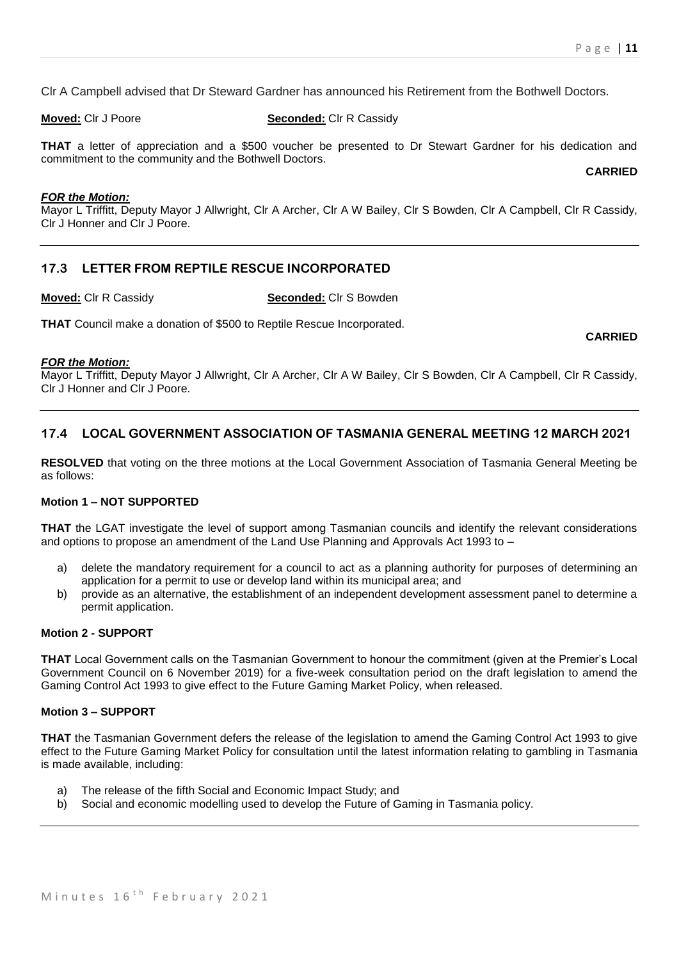Clr A Campbell advised that Dr Steward Gardner has announced his Retirement from the Bothwell Doctors.

**Moved:** Clr J Poore **Seconded:** Clr R Cassidy

**THAT** a letter of appreciation and a \$500 voucher be presented to Dr Stewart Gardner for his dedication and commitment to the community and the Bothwell Doctors.

**CARRIED**

**CARRIED**

#### *FOR the Motion:*

Mayor L Triffitt, Deputy Mayor J Allwright, Clr A Archer, Clr A W Bailey, Clr S Bowden, Clr A Campbell, Clr R Cassidy, Clr J Honner and Clr J Poore.

# **17.3 LETTER FROM REPTILE RESCUE INCORPORATED**

**Moved:** Clr R Cassidy **Seconded:** Clr S Bowden

**THAT** Council make a donation of \$500 to Reptile Rescue Incorporated.

#### *FOR the Motion:*

Mayor L Triffitt, Deputy Mayor J Allwright, Clr A Archer, Clr A W Bailey, Clr S Bowden, Clr A Campbell, Clr R Cassidy, Clr J Honner and Clr J Poore.

# **17.4 LOCAL GOVERNMENT ASSOCIATION OF TASMANIA GENERAL MEETING 12 MARCH 2021**

**RESOLVED** that voting on the three motions at the Local Government Association of Tasmania General Meeting be as follows:

#### **Motion 1 – NOT SUPPORTED**

**THAT** the LGAT investigate the level of support among Tasmanian councils and identify the relevant considerations and options to propose an amendment of the Land Use Planning and Approvals Act 1993 to –

- a) delete the mandatory requirement for a council to act as a planning authority for purposes of determining an application for a permit to use or develop land within its municipal area; and
- b) provide as an alternative, the establishment of an independent development assessment panel to determine a permit application.

# **Motion 2 - SUPPORT**

**THAT** Local Government calls on the Tasmanian Government to honour the commitment (given at the Premier's Local Government Council on 6 November 2019) for a five-week consultation period on the draft legislation to amend the Gaming Control Act 1993 to give effect to the Future Gaming Market Policy, when released.

#### **Motion 3 – SUPPORT**

**THAT** the Tasmanian Government defers the release of the legislation to amend the Gaming Control Act 1993 to give effect to the Future Gaming Market Policy for consultation until the latest information relating to gambling in Tasmania is made available, including:

- a) The release of the fifth Social and Economic Impact Study; and
- b) Social and economic modelling used to develop the Future of Gaming in Tasmania policy.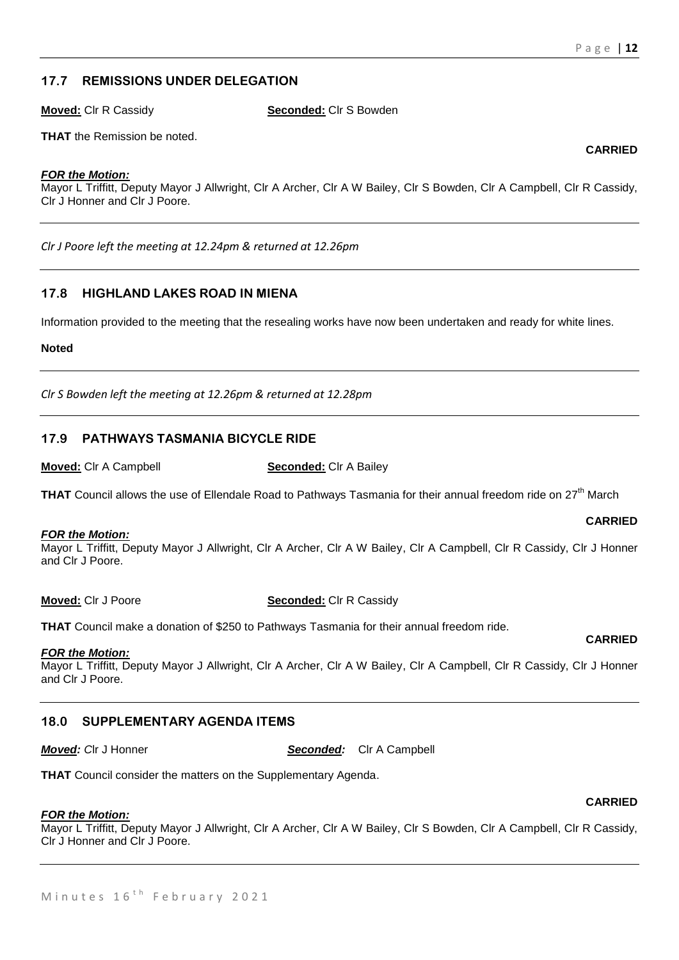# **17.7 REMISSIONS UNDER DELEGATION**

**Moved:** Clr R Cassidy **Seconded:** Clr S Bowden

**THAT** the Remission be noted.

#### *FOR the Motion:*

Mayor L Triffitt, Deputy Mayor J Allwright, Clr A Archer, Clr A W Bailey, Clr S Bowden, Clr A Campbell, Clr R Cassidy, Clr J Honner and Clr J Poore.

*Clr J Poore left the meeting at 12.24pm & returned at 12.26pm*

# **17.8 HIGHLAND LAKES ROAD IN MIENA**

Information provided to the meeting that the resealing works have now been undertaken and ready for white lines.

#### **Noted**

*Clr S Bowden left the meeting at 12.26pm & returned at 12.28pm*

# **17.9 PATHWAYS TASMANIA BICYCLE RIDE**

**Moved:** Clr A Campbell **Seconded:** Clr A Bailey

**THAT** Council allows the use of Ellendale Road to Pathways Tasmania for their annual freedom ride on 27<sup>th</sup> March

#### *FOR the Motion:*

Mayor L Triffitt, Deputy Mayor J Allwright, Clr A Archer, Clr A W Bailey, Clr A Campbell, Clr R Cassidy, Clr J Honner and Clr J Poore.

**Moved:** Clr J Poore **Seconded:** Clr R Cassidy

**THAT** Council make a donation of \$250 to Pathways Tasmania for their annual freedom ride.

#### *FOR the Motion:*

Mayor L Triffitt, Deputy Mayor J Allwright, Clr A Archer, Clr A W Bailey, Clr A Campbell, Clr R Cassidy, Clr J Honner and Clr J Poore.

# **18.0 SUPPLEMENTARY AGENDA ITEMS**

*Moved: C*lr J Honner *Seconded:* Clr A Campbell

**THAT** Council consider the matters on the Supplementary Agenda.

## *FOR the Motion:*

Mayor L Triffitt, Deputy Mayor J Allwright, Clr A Archer, Clr A W Bailey, Clr S Bowden, Clr A Campbell, Clr R Cassidy, Clr J Honner and Clr J Poore.

# **CARRIED**

**CARRIED**

#### **CARRIED**